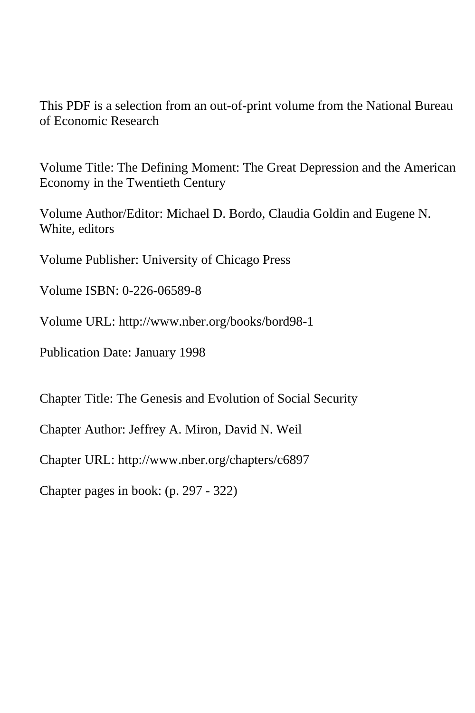This PDF is a selection from an out-of-print volume from the National Bureau of Economic Research

Volume Title: The Defining Moment: The Great Depression and the American Economy in the Twentieth Century

Volume Author/Editor: Michael D. Bordo, Claudia Goldin and Eugene N. White, editors

Volume Publisher: University of Chicago Press

Volume ISBN: 0-226-06589-8

Volume URL: http://www.nber.org/books/bord98-1

Publication Date: January 1998

Chapter Title: The Genesis and Evolution of Social Security

Chapter Author: Jeffrey A. Miron, David N. Weil

Chapter URL: http://www.nber.org/chapters/c6897

Chapter pages in book: (p. 297 - 322)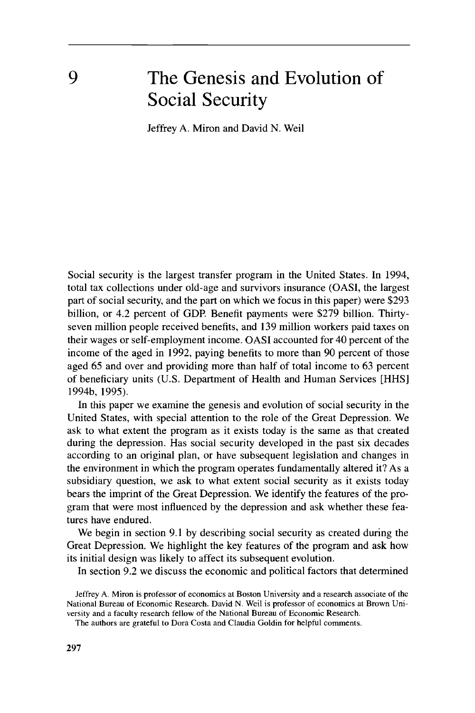# 9 The Genesis and Evolution of Social Security

Jeffrey **A.** Miron and David N. Weil

Social security is the largest transfer program in the United States. In 1994, total tax collections under old-age and survivors insurance (OASI, the largest part of social security, and the part on which we focus in this paper) were \$293 billion, or 4.2 percent of GDP. Benefit payments were \$279 billion. Thirtyseven million people received benefits, and 139 million workers paid taxes on their wages or self-employment income. OASI accounted for 40 percent of the income of the aged in 1992, paying benefits to more than 90 percent of those aged 65 and over and providing more than half of total income to 63 percent of beneficiary units (U.S. Department of Health and Human Services [HHS] 1994b, 1995).

In this paper we examine the genesis and evolution of social security in the United States, with special attention to the role of the Great Depression. We ask to what extent the program as it exists today is the same as that created during the depression. Has social security developed in the past six decades according to **an** original plan, or have subsequent legislation and changes in the environment in which the program operates fundamentally altered it? **As** a subsidiary question, we ask to what extent social security as it exists today bears the imprint of the Great Depression. We identify the features of the program that were most influenced by the depression and ask whether these features have endured.

We begin in section 9.1 by describing social security as created during the Great Depression. We highlight the key features of the program and ask how its initial design was likely to affect its subsequent evolution.

In section 9.2 we discuss the economic and political factors that determined

Jeffrey **A.** Miron **is** professor of economics at Boston University and a research associate of the National Bureau of Economic Research. David N. Weil is professor of economics at Brown University and a faculty research fellow of the National Bureau of Economic Research.

The authors are grateful to Dora Costa and Claudia Goldin for helpful comments.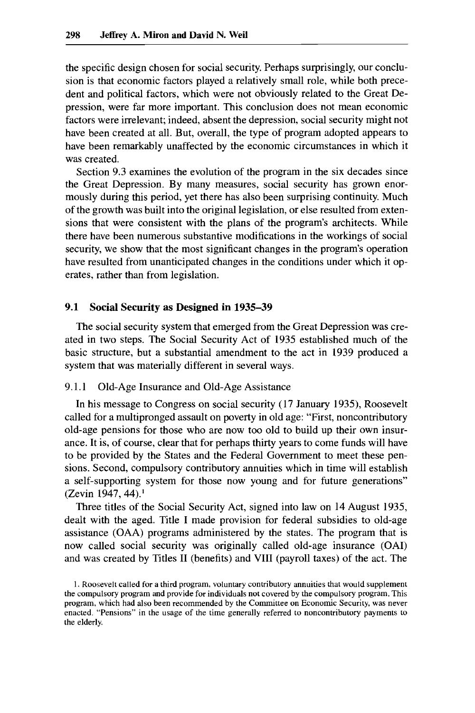the specific design chosen for social security. Perhaps surprisingly, our conclusion is that economic factors played a relatively small role, while both precedent and political factors, which were not obviously related to the Great Depression, were far more important. This conclusion does not mean economic factors were irrelevant; indeed, absent the depression, social security might not have been created at all. But, overall, the type of program adopted appears to have been remarkably unaffected by the economic circumstances in which it was created.

Section 9.3 examines the evolution of the program in the six decades since the Great Depression. By many measures, social security has grown enormously during this period, yet there has also been surprising continuity. Much of the growth was built into the original legislation, or else resulted from extensions that were consistent with the plans of the program's architects. While there have been numerous substantive modifications in the workings of social security, we show that the most significant changes in the program's operation have resulted from unanticipated changes in the conditions under which it operates, rather than from legislation.

#### **9.1 Social Security as Designed in 1935-39**

The social security system that emerged from the Great Depression was created in two steps. The Social Security Act of 1935 established much of the basic structure, but a substantial amendment to the act in 1939 produced a system that was materially different in several ways.

# 9.1.1 Old-Age Insurance and Old-Age Assistance

In his message to Congress on social security **(17** January 1935), Roosevelt called for a multipronged assault on poverty in old age: "First, noncontributory old-age pensions for those who are now too old to build up their own insurance. It is, of course, clear that for perhaps thirty years to come funds will have to be provided by the States and the Federal Government to meet these pensions. Second, compulsory contributory annuities which in time will establish a self-supporting system for those now young and for future generations" (Zevin 1947,44).'

Three titles of the Social Security Act, signed into law on 14 August 1935, dealt with the aged. Title I made provision for federal subsidies to old-age assistance (OAA) programs administered by the states. The program that is now called social security was originally called old-age insurance (OAI) and was created by Titles I1 (benefits) and VIII (payroll taxes) of the act. The

I. Roosevelt called for a third program, voluntary contributory annuities that would supplement the compulsory program and provide for individuals not covered by **the** compulsory program. This program, which had **also** been recommended by the Committee **on** Economic Security, **was** never enacted. "Pensions" in the usage of the time generally referred to noncontributory payments to the elderly.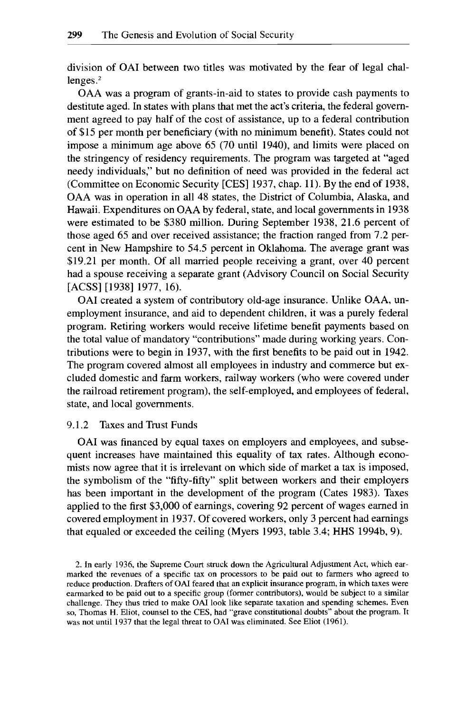division of OAI between two titles was motivated by the fear of legal challenges. $<sup>2</sup>$ </sup>

**OAA** was a program of grants-in-aid to states to provide cash payments to destitute aged. In states with plans that met the act's criteria, the federal government agreed to pay half of the cost of assistance, up to a federal contribution of \$15 per month per beneficiary (with no minimum benefit). States could not impose a minimum age above 65 (70 until 1940), and limits were placed on the stringency of residency requirements. The program was targeted at "aged needy individuals," but no definition of need was provided in the federal act (Committee on Economic Security [CES] 1937, chap. 11). By the end of 1938, **OAA** was in operation in all 48 states, the District of Columbia, Alaska, and Hawaii. Expenditures on OAA by federal, state, and local governments in 1938 were estimated to be \$380 million. During September 1938, 21.6 percent of those aged 65 and over received assistance; the fraction ranged from 7.2 percent in New Hampshire to 54.5 percent in Oklahoma. The average grant was \$19.21 per month. Of all married people receiving a grant, over 40 percent had a spouse receiving a separate grant (Advisory Council on Social Security [ACSS] [1938] 1977, 16).

OAI created a system of contributory old-age insurance. Unlike **OAA,** unemployment insurance, and aid to dependent children, it was a purely federal program. Retiring workers would receive lifetime benefit payments based on the total value of mandatory "contributions" made during working years. Contributions were to begin in 1937, with the first benefits to be paid out in 1942. The program covered almost all employees in industry and commerce but excluded domestic and farm workers, railway workers (who were covered under the railroad retirement program), the self-employed, and employees of federal, state, and local governments.

# 9.1.2 Taxes and Trust Funds

OAI was financed by equal taxes on employers and employees, and subsequent increases have maintained this equality of tax rates. Although economists now agree that it is irrelevant on which side of market a tax is imposed, the symbolism of the "fifty-fifty" split between workers and their employers has been important in the development of the program (Cates 1983). Taxes applied to the first \$3,000 of earnings, covering 92 percent of wages earned in covered employment in 1937. Of covered workers, only 3 percent had earnings that equaled or exceeded the ceiling (Myers 1993, table 3.4; HHS 1994b, 9).

<sup>2.</sup> In early 1936, the Supreme Court struck down the Agricultural Adjustment Act, which earmarked the revenues of a specific tax on processors to be paid out **to** farmers who agreed to reduce production. Drafters of OAI feared that an explicit insurance program, in which taxes were earmarked to be paid **out** to a specific group (former contributors), would be subject to a similar challenge. They thus tried to make OAI look like separate taxation and spending schemes. Even **so,** Thomas **H.** Eliot, counsel to the **CES,** had "grave constitutional doubts" about the program. It was not until **1937** that the legal threat to OAI was eliminated. See Eliot (1961).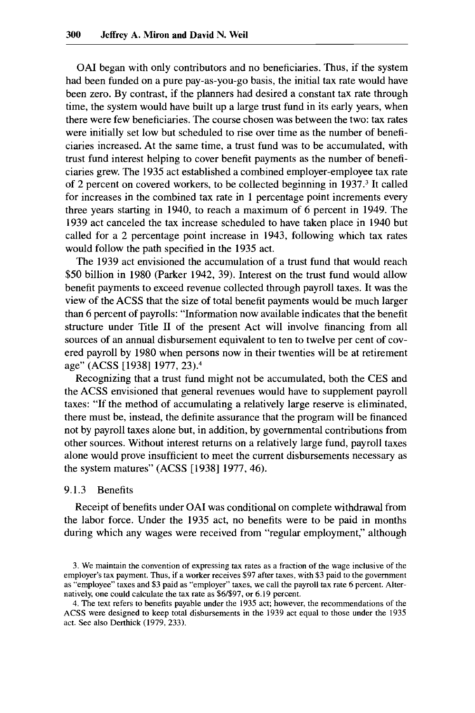OAI began with only contributors and no beneficiaries. Thus, if the system had been funded on a pure pay-as-you-go basis, the initial tax rate would have been zero. By contrast, if the planners had desired a constant tax rate through time, the system would have built up a large trust fund in its early years, when there were few beneficiaries. The course chosen was between the two: tax rates were initially set low but scheduled to rise over time as the number of beneficiaries increased. At the same time, a trust fund was to be accumulated, with trust fund interest helping to cover benefit payments as the number of beneficiaries grew. The 1935 act established a combined employer-employee tax rate of *2* percent on covered workers, to be collected beginning in 1937.3 It called for increases in the combined tax rate in 1 percentage point increments every three years starting in 1940, to reach a maximum of 6 percent in 1949. The 1939 act canceled the tax increase scheduled to have taken place in 1940 but called for a *2* percentage point increase in 1943, following which tax rates would follow the path specified in the 1935 act.

The 1939 act envisioned the accumulation of a trust fund that would reach \$50 billion in 1980 (Parker 1942, 39). Interest on the trust fund would allow benefit payments to exceed revenue collected through payroll taxes. It was the view of the ACSS that the size of total benefit payments would be much larger than 6 percent of payrolls: "Information now available indicates that the benefit structure under Title 11 of the present Act will involve financing from all sources of an annual disbursement equivalent to ten to twelve per cent of covered payroll by 1980 when persons now in their twenties will be at retirement age" (ACSS [1938] 1977,23).4

Recognizing that a trust fund might not be accumulated, both the CES and the ACSS envisioned that general revenues would have to supplement payroll taxes: "If the method of accumulating a relatively large reserve is eliminated, there must be, instead, the definite assurance that the program will be financed not by payroll taxes alone but, in addition, by governmental contributions from other sources. Without interest returns on a relatively large fund, payroll taxes alone would prove insufficient to meet the current disbursements necessary as the system matures" (ACSS [1938] 1977,46).

# 9.1.3 Benefits

Receipt of benefits under OAI was conditional on complete withdrawal from the labor force. Under the 1935 act, no benefits were to be paid in months during which any wages were received from "regular employment," although

*<sup>3.</sup>* We maintain the convention of expressing tax rates as a fraction of the wage inclusive of the employer's tax payment. **Thus,** if a worker receives \$97 after taxes, with \$3 paid to the government **as** "employee" taxes and *\$3* paid as "employer" taxes, we call the payroll tax rate 6 percent. Alternatively, one could calculate **the** tax rate as \$6/\$97, or 6.19 percent.

<sup>4.</sup> The text refers to benefits payable under the 1935 act; however, the recommendations of the ACSS were designed to keep total disbursements in the 1939 act equal to those under the 1935 act. See also Derthick (1979, 233).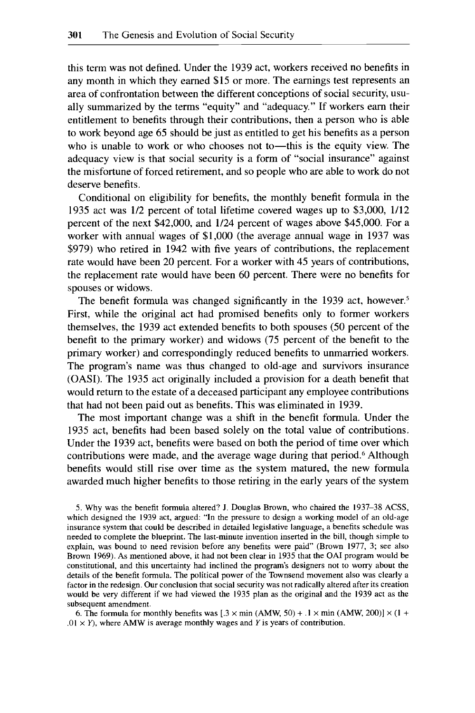this term was not defined. Under the 1939 act, workers received no benefits in any month in which they earned \$15 or more. The earnings test represents an area of confrontation between the different conceptions of social security, usually summarized by the terms "equity" and "adequacy." If workers earn their entitlement to benefits through their contributions, then a person who is able to work beyond age 65 should be just as entitled to get his benefits as a person who is unable to work or who chooses not to-this is the equity view. The adequacy view is that social security is a form of "social insurance" against the misfortune of forced retirement, and so people who are able to work do not deserve benefits.

Conditional on eligibility for benefits, the monthly benefit formula in the 1935 act was 1/2 percent of total lifetime covered wages up to \$3,000, 1/12 percent of the next \$42,000, and 1/24 percent of wages above \$45,000. For a worker with annual wages of \$1,000 (the average annual wage in 1937 was \$979) who retired in 1942 with five years of contributions, the replacement rate would have been 20 percent. For a worker with 45 years of contributions, the replacement rate would have been 60 percent. There were no benefits for spouses or widows.

The benefit formula was changed significantly in the 1939 act, however. $5$ First, while the original act had promised benefits only to former workers themselves, the 1939 act extended benefits to both spouses (50 percent of the benefit to the primary worker) and widows (75 percent of the benefit to the primary worker) and correspondingly reduced benefits to unmarried workers. The program's name was thus changed to old-age and survivors insurance **(OASI).** The 1935 act originally included a provision for a death benefit that would return to the estate of a deceased participant any employee contributions that had not been paid out as benefits. This was eliminated in 1939.

The most important change was a shift in the benefit formula. Under the 1935 act, benefits had been based solely on the total value of contributions. Under the 1939 act, benefits were based on both the period of time over which contributions were made, and the average wage during that period.<sup>6</sup> Although benefits would still rise over time as the system matured, the new formula awarded much higher benefits to those retiring in the early years of the system

5. Why was the benefit formula altered? J. Douglas Brown, who chaired the 1937-38 **ACSS,**  which designed the 1939 act, argued: "In the pressure to design a working model of an old-age insurance system that could be described in detailed legislative language, a benefits schedule was needed to complete the blueprint. The last-minute invention inserted in the bill, though simple to explain, was bound to need revision before any benefits were paid" (Brown 1977, **3;** see also Brown 1969). **As** mentioned above, it had not been clear in 1935 that the OAI program would be constitutional, and this uncertainty had inclined the program's designers not to worry about the details of the benefit formula. The political power of the Townsend movement also was clearly a factor in the redesign. **Our** conclusion that social security was not radically altered after its creation would be very different if we had viewed the **1935** plan as the original and the 1939 act as the subsequent amendment.

6. The formula for monthly benefits was  $[.3 \times min (AMW, 50) + .1 \times min (AMW, 200)] \times (1 +$  $.01 \times Y$ ), where AMW is average monthly wages and *Y* is years of contribution.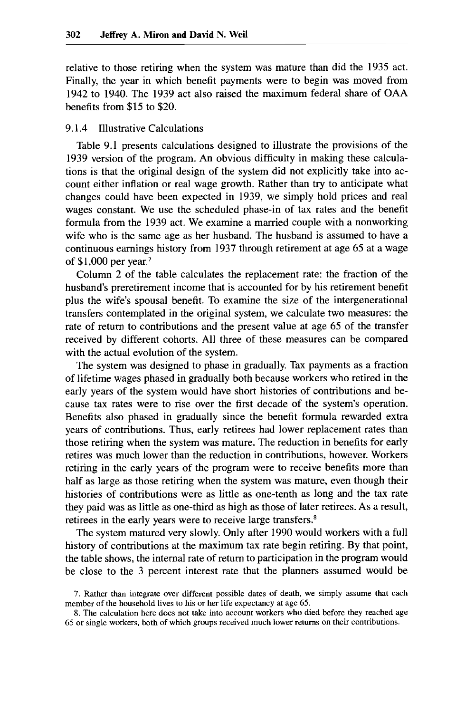relative to those retiring when the system was mature than did the 1935 act. Finally, the year in which benefit payments were to begin was moved from 1942 to 1940. The 1939 act also raised the maximum federal share of OAA benefits from \$15 to \$20.

# 9.1.4 Illustrative Calculations

Table 9.1 presents calculations designed to illustrate the provisions of the 1939 version of the program. An obvious difficulty in making these calculations is that the original design of the system did not explicitly take into account either inflation or real wage growth. Rather than try to anticipate what changes could have been expected in 1939, we simply hold prices and real wages constant. We use the scheduled phase-in of tax rates and the benefit formula from the 1939 act. We examine a married couple with a nonworking wife who is the same age as her husband. The husband is assumed to have a continuous earnings history from 1937 through retirement at age 65 at a wage of \$1,000 per year.7

Column 2 of the table calculates the replacement rate: the fraction of the husband's preretirement income that is accounted for by his retirement benefit plus the wife's spousal benefit. **To** examine the size of the intergenerational transfers contemplated in the original system, we calculate two measures: the rate of return to contributions and the present value at age 65 of the transfer received by different cohorts. All three of these measures can be compared with the actual evolution of the system.

The system was designed to phase in gradually. Tax payments as a fraction of lifetime wages phased in gradually both because workers who retired in the early years of the system would have short histories **of** contributions and because tax rates were to rise over the first decade of the system's operation. Benefits also phased in gradually since the benefit formula rewarded extra years of contributions. Thus, early retirees had lower replacement rates than those retiring when the system was mature. The reduction in benefits for early retires was much lower than the reduction in contributions, however. Workers retiring in the early years of the program were to receive benefits more than half as large as those retiring when the system was mature, even though their histories of contributions were as little as one-tenth as long and the tax rate they paid was as little as one-third as high as those of later retirees. As a result, retirees in the early years were to receive large transfers.<sup>8</sup>

The system matured very slowly. Only after 1990 would workers with a full history of contributions at the maximum tax rate begin retiring. By that point, the table shows, the internal rate of return to participation in the program would be close to the 3 percent interest rate that the planners assumed would be

<sup>7.</sup> Rather than integrate over different possible dates **of** death, we simply assume that each member of the household lives to his **or** her life expectancy at age *65.* 

*<sup>8.</sup>* The calculation here does not take into account workers who died before they reached age 65 or single workers, both of which groups received much lower returns on their contributions.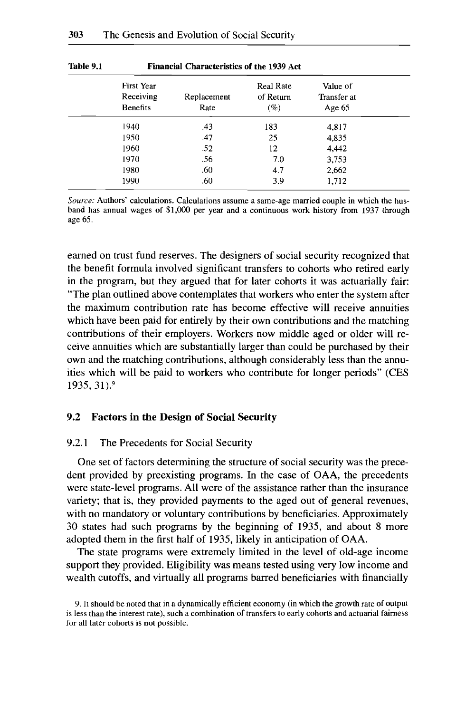| <b>First Year</b><br>Receiving<br><b>Benefits</b> | Replacement<br>Rate | <b>Real Rate</b><br>of Return<br>$(\%)$ | Value of<br>Transfer at<br>Age 65 |
|---------------------------------------------------|---------------------|-----------------------------------------|-----------------------------------|
| 1940                                              | .43                 | 183                                     | 4,817                             |
| 1950                                              | .47                 | 25                                      | 4.835                             |
| 1960                                              | .52                 | 12                                      | 4,442                             |
| 1970                                              | .56                 | 7.0                                     | 3,753                             |
| 1980                                              | .60                 | 4.7                                     | 2,662                             |
| 1990                                              | .60                 | 3.9                                     | 1,712                             |

| Table 9.1 | <b>Financial Characteristics of the 1939 Act</b> |  |  |
|-----------|--------------------------------------------------|--|--|
|           |                                                  |  |  |

*Source:* Authors' calculations. Calculations assume a same-age married couple in which the husband has annual wages of \$1,000 per year and a continuous work history from 1937 through age 65.

earned on trust fund reserves. The designers of social security recognized that the benefit formula involved significant transfers to cohorts who retired early in the program, but they argued that for later cohorts it was actuarially fair: "The plan outlined above contemplates that workers who enter the system after the maximum contribution rate has become effective will receive annuities which have been paid for entirely by their own contributions and the matching contributions of their employers. Workers now middle aged or older will receive annuities which are substantially larger than could be purchased by their own and the matching contributions, although considerably less than the annuities which will be paid to workers who contribute for longer periods" **(CES**  1935, 31).9

### **9.2 Factors in the Design of Social Security**

#### 9.2.1 The Precedents for Social Security

One set of factors determining the structure of social security was the precedent provided by preexisting programs. In the case of **OAA,** the precedents were state-level programs. All were of the assistance rather than the insurance variety; that is, they provided payments to the aged out of general revenues, with no mandatory or voluntary contributions by beneficiaries. Approximately 30 states had such programs by the beginning of 1935, and about 8 more adopted them in the first half of 1935, likely in anticipation of OAA.

The state programs were extremely limited in the level of old-age income support they provided. Eligibility was means tested using very low income and wealth cutoffs, and virtually all programs barred beneficiaries with financially

<sup>9.</sup> It should be noted that in a dynamically efficient economy (in which the growth rate of output is less than the interest rate), such a combination of transfers to early cohorts and actuarial fairness for all later cohorts is not possible.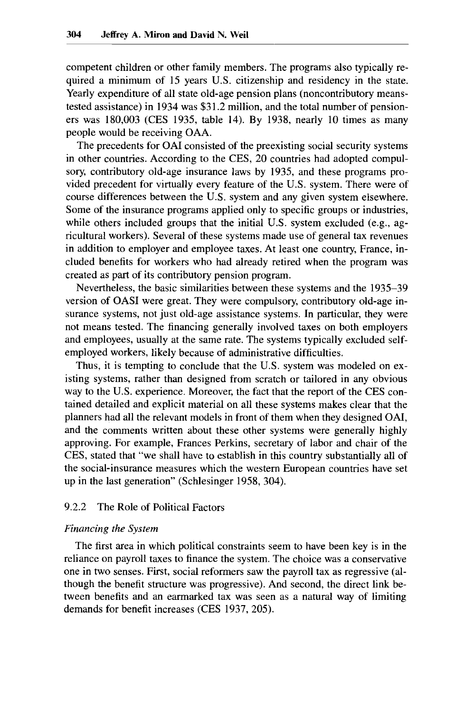competent children or other family members. The programs also typically required a minimum of 15 years **U.S.** citizenship and residency in the state. Yearly expenditure of all state old-age pension plans (noncontributory meanstested assistance) in 1934 was \$31.2 million, and the total number of pensioners was 180,003 (CES 1935, table 14). By 1938, nearly **10** times as many people would be receiving OAA.

The precedents for OAI consisted of the preexisting social security systems in other countries. According to the CES, 20 countries had adopted compulsory, contributory old-age insurance laws by 1935, and these programs provided precedent for virtually every feature of the US. system. There were of course differences between the **U.S.** system and any given system elsewhere. Some of the insurance programs applied only to specific groups or industries, while others included groups that the initial **U.S.** system excluded (e.g., agricultural workers). Several of these systems made use of general tax revenues in addition to employer and employee taxes. At least one country, France, included benefits for workers who had already retired when the program was created as part of its contributory pension program.

Nevertheless, the basic similarities between these systems and the 1935-39 version of **OASI** were great. They were compulsory, contributory old-age insurance systems, not just old-age assistance systems. In particular, they were not means tested. The financing generally involved taxes on both employers and employees, usually at the same rate. The systems typically excluded selfemployed workers, likely because of administrative difficulties.

Thus, it is tempting to conclude that the U.S. system was modeled on existing systems, rather than designed from scratch or tailored in any obvious way to the **U.S.** experience. Moreover, the fact that the report of the CES contained detailed and explicit material on all these systems makes clear that the planners had all the relevant models in front of them when they designed OAI, and the comments written about these other systems were generally highly approving. For example, Frances Perkins, secretary of labor and chair of the CES, stated that "we shall have to establish in this country substantially all of the social-insurance measures which the western European countries have set up in the last generation" (Schlesinger 1958, 304).

# 9.2.2 The Role of Political Factors

### Financing *the System*

The first area in which political constraints seem to have been key is in the reliance on payroll taxes to finance the system. The choice was a conservative one in two senses. First, social reformers saw the payroll tax as regressive (although the benefit structure was progressive). And second, the direct link between benefits and an earmarked tax was seen as a natural way of limiting demands for benefit increases (CES 1937, 205).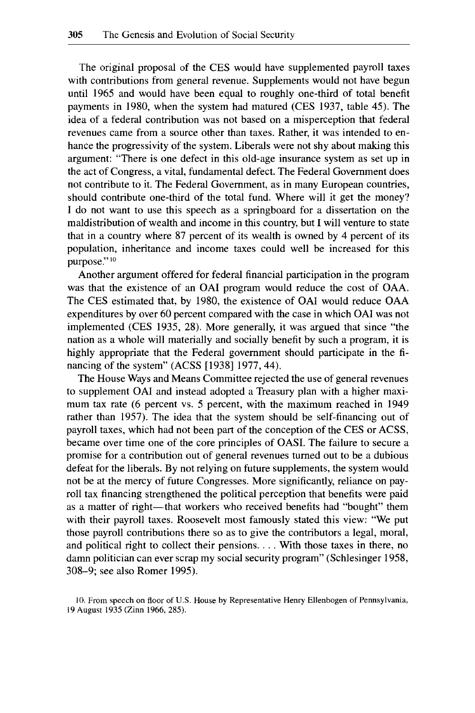The original proposal of the CES would have supplemented payroll taxes with contributions from general revenue. Supplements would not have begun until 1965 and would have been equal to roughly one-third of total benefit payments in 1980, when the system had matured (CES 1937, table 45). The idea of a federal contribution was not based on a misperception that federal revenues came from a source other than taxes. Rather, it was intended to enhance the progressivity of the system. Liberals were not shy about making this argument: "There is one defect in this old-age insurance system as set up in the act of Congress, a vital, fundamental defect. The Federal Government does not contribute to it. The Federal Government, as in many European countries, should contribute one-third of the total fund. Where will it get the money? **I** do not want to use this speech as a springboard for a dissertation on the maldistribution of wealth and income in this country, but **I** will venture to state that in a country where 87 percent of its wealth is owned by 4 percent of its population, inheritance and income taxes could well be increased for this purpose."<sup>10</sup>

Another argument offered for federal financial participation in the program was that the existence of an **OAI** program would reduce the cost of **OAA.**  The CES estimated that, by 1980, the existence of **OAI** would reduce OAA expenditures by over 60 percent compared with the case in which **OAI** was not implemented (CES 1935, 28). More generally, it was argued that since "the nation as a whole will materially and socially benefit by such a program, it is highly appropriate that the Federal government should participate in the financing of the system" **(ACSS** [1938] 1977,44).

The House Ways and Means Committee rejected the use of general revenues to supplement OAI and instead adopted a Treasury plan with a higher maximum tax rate (6 percent **vs.** 5 percent, with the maximum reached in 1949 rather than 1957). The idea that the system should be self-financing out of payroll taxes, which had not been part of the conception of the CES or ACSS, became over time one of the core principles of OASI. The failure to secure a promise for a contribution out of general revenues turned out to be a dubious defeat for the liberals. By not relying on future supplements, the system would not be at the mercy of future Congresses. More significantly, reliance on payroll tax financing strengthened the political perception that benefits were paid as a matter of right—that workers who received benefits had "bought" them with their payroll taxes. Roosevelt most famously stated this view: "We put those payroll contributions there so as to give the contributors a legal, moral, and political right to collect their pensions. . . . With those taxes in there, no damn politician can ever scrap my social security program" (Schlesinger 1958, 308-9; see also Romer 1995).

**10. From speech on floor of U.S. House by Representative Henry Ellenbogen of Pennsylvania, 19 August 1935 (Zinn 1966,285).**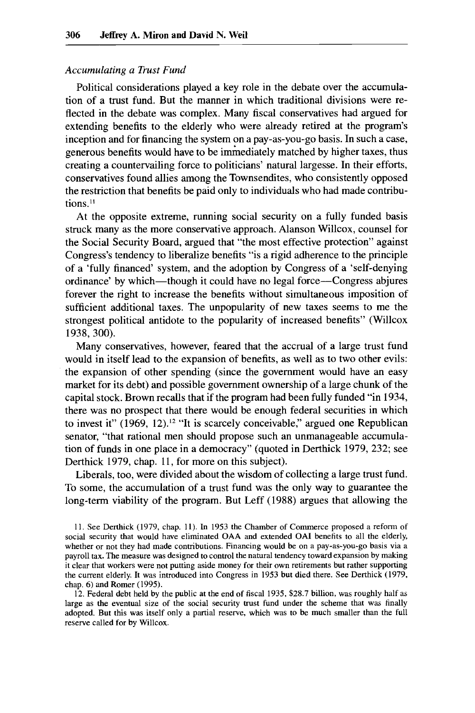# *Accumulating a Trust Fund*

Political considerations played a key role in the debate over the accumulation of a trust fund. But the manner in which traditional divisions were reflected in the debate was complex. Many fiscal conservatives had argued for extending benefits to the elderly who were already retired at the program's inception and for financing the system on a pay-as-you-go basis. In such a case, generous benefits would have to be imhediately matched by higher taxes, thus creating a countervailing force to politicians' natural largesse. In their efforts, conservatives found allies among the Townsendites, who consistently opposed the restriction that benefits be paid only to individuals who had made contributions.<sup>11</sup>

At the opposite extreme, running social security on a fully funded basis struck many as the more conservative approach. Alanson Willcox, counsel for the Social Security Board, argued that "the most effective protection" against Congress's tendency to liberalize benefits "is a rigid adherence to the principle of a 'fully financed' system, and the adoption by Congress of a 'self-denying ordinance' by which—though it could have no legal force—Congress abjures forever the right to increase the benefits without simultaneous imposition of sufficient additional taxes. The unpopularity of new taxes seems to me the strongest political antidote to the popularity of increased benefits" (Willcox 1938, 300).

Many conservatives, however, feared that the accrual of a large trust fund would in itself lead to the expansion of benefits, as well as to two other evils: the expansion of other spending (since the government would have an easy market for its debt) and possible government ownership of a large chunk of the capital stock. Brown recalls that if the program had been fully funded "in 1934, there was no prospect that there would be enough federal securities in which to invest it"  $(1969, 12)$ .<sup>12</sup> "It is scarcely conceivable," argued one Republican senator, "that rational men should propose such an unmanageable accumulation **of** funds in one place in a democracy" (quoted in Derthick 1979, 232; see Derthick 1979, chap. 11, for more on this subject).

Liberals, too, were divided about the wisdom of collecting a large trust fund. To some, the accumulation of a trust fund was the only way to guarantee the long-term viability of the program. But Leff (1988) argues that allowing the

1 I. *See* Derthick (1979, chap. 11). In 1953 the Chamber of Commerce proposed a reform of social security that would have eliminated **OAA** and extended *OAI* benefits to all the elderly, whether or not they had made contributions. Financing would be on a pay-as-you-go basis via a payroll tax. The measure was designed to control the natural tendency toward expansion by making it clear that workers were not putting aside money for their own retirements but rather supporting the current elderly. It was introduced into Congress in 19.53 but died there. See Derthick (1979, chap. 6) and Romer (1995).

12. Federal debt held by the public at the end of fiscal 1935, \$28.7 billion, was roughly half as large **as** the eventual size of the social security trust fund under the scheme that was finally adopted. But this was itself only a partial reserve, which was to be much smaller than the full reserve called for by Willcox.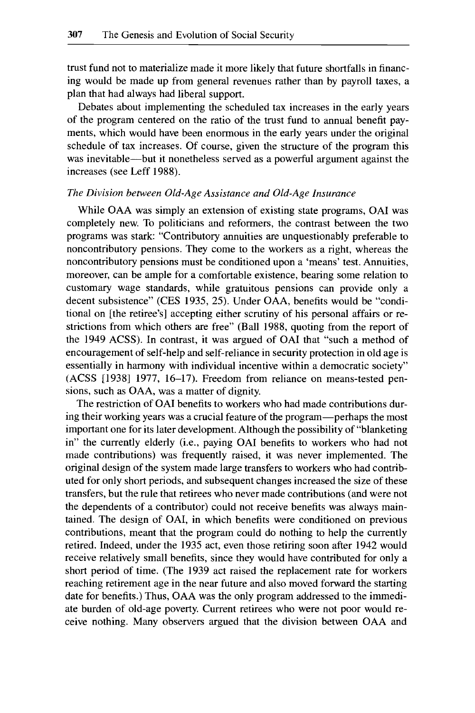trust fund not to materialize made it more likely that future shortfalls in financing would be made up from general revenues rather than by payroll taxes, a plan that had always had liberal support.

Debates about implementing the scheduled tax increases in the early years of the program centered on the ratio of the trust fund to annual benefit payments, which would have been enormous in the early years under the original schedule of tax increases. Of course, given the structure of the program this was inevitable-but it nonetheless served as a powerful argument against the increases (see Leff 1988).

# *The Division between Old-Age Assistance and Old-Age Insurance*

While OAA was simply an extension of existing state programs, **OAI** was completely new. To politicians and reformers, the contrast between the two programs was stark: "Contributory annuities are unquestionably preferable to noncontributory pensions. They come to the workers as a right, whereas the noncontributory pensions must be conditioned upon a 'means' test. Annuities, moreover, can be ample for a comfortable existence, bearing some relation to customary wage standards, while gratuitous pensions can provide only a decent subsistence" **(CES** 1935, 25). Under OAA, benefits would be "conditional on [the retiree's] accepting either scrutiny of his personal affairs or restrictions from which others are free" (Ball 1988, quoting from the report of the 1949 ACSS). In contrast, it was argued of OAI that "such a method of encouragement of self-help and self-reliance in security protection in old age is essentially in harmony with individual incentive within a democratic society" (ACSS [I9381 1977, 16-17). Freedom from reliance on means-tested pensions, such as OAA, was a matter of dignity.

The restriction of OAI benefits to workers who had made contributions during their working years was a crucial feature of the program-perhaps the most important one for its later development. Although the possibility of "blanketing in" the currently elderly (i.e., paying OAI benefits to workers who had not made contributions) was frequently raised, it was never implemented. The original design of the system made large transfers to workers who had contributed for only short periods, and subsequent changes increased the size of these transfers, but the rule that retirees who never made contributions (and were not the dependents of a contributor) could not receive benefits was always maintained. The design of **OAI,** in which benefits were conditioned on previous contributions, meant that the program could do nothing to help the currently retired. Indeed, under the 1935 act, even those retiring soon after 1942 would receive relatively small benefits, since they would have contributed for only a short period of time. (The 1939 act raised the replacement rate for workers reaching retirement age in the near future and also moved forward the starting date for benefits.) Thus, **OAA** was the only program addressed to the immediate burden of old-age poverty. Current retirees who were not poor would receive nothing. Many observers argued that the division between OAA and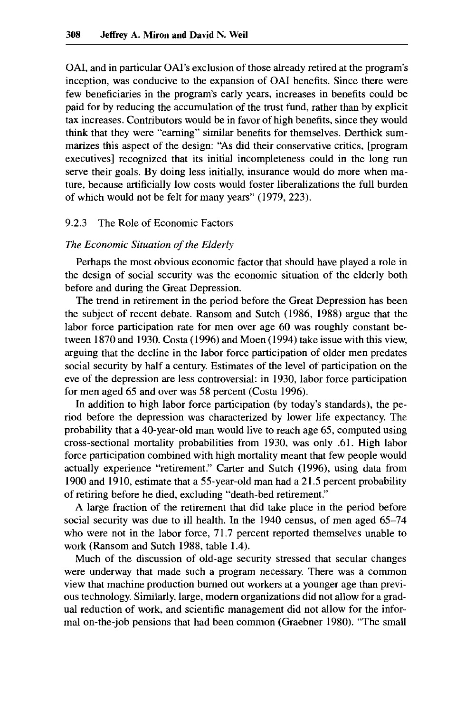OAI, and in particular OAI's exclusion of those already retired at the program's inception, was conducive to the expansion of OAI benefits. Since there were few beneficiaries in the program's early years, increases in benefits could be paid for by reducing the accumulation of the trust fund, rather than by explicit tax increases. Contributors would be in favor of high benefits, since they would think that they were "earning" similar benefits for themselves. Derthick summarizes this aspect of the design: "As did their conservative critics, [program executives] recognized that its initial incompleteness could in the long run serve their goals. By doing less initially, insurance would do more when mature, because artificially low costs would foster liberalizations the full burden of which would not be felt for many years" (1979, **223).** 

# 9.2.3 The Role of Economic Factors

### *The Economic Situation of the Elderly*

Perhaps the most obvious economic factor that should have played a role in the design of social security was the economic situation of the elderly both before and during the Great Depression.

The trend in retirement in the period before the Great Depression has been the subject of recent debate. Ransom and Sutch (1986, 1988) argue that the labor force participation rate for men over age 60 was roughly constant between 1870 and 1930. Costa (1996) and Moen (1994) take issue with this view, arguing that the decline in the labor force participation of older men predates social security by half a century. Estimates of the level of participation on the eve of the depression are less controversial: in 1930, labor force participation for men aged 65 and over was 58 percent (Costa 1996).

In addition to high labor force participation (by today's standards), the period before the depression was characterized by lower life expectancy. The probability that a 40-year-old man would live to reach age 65, computed using cross-sectional mortality probabilities from 1930, was only .61. High labor force participation combined with high mortality meant that few people would actually experience "retirement." Carter and Sutch (1996), using data from 1900 and 1910, estimate that a 55-year-old man had a **21.5** percent probability of retiring before he died, excluding "death-bed retirement."

A large fraction of the retirement that did take place in the period before social security was due to ill health. In the 1940 census, of men aged 65-74 who were not in the labor force, 71.7 percent reported themselves unable to work (Ransom and Sutch 1988, table 1.4).

Much of the discussion of old-age security stressed that secular changes were underway that made such a program necessary. There was a common view that machine production burned out workers at a younger age than previous technology. Similarly, large, modem organizations did not allow for a gradual reduction of work, and scientific management did not allow for the informal on-the-job pensions that had been common (Graebner 1980). "The small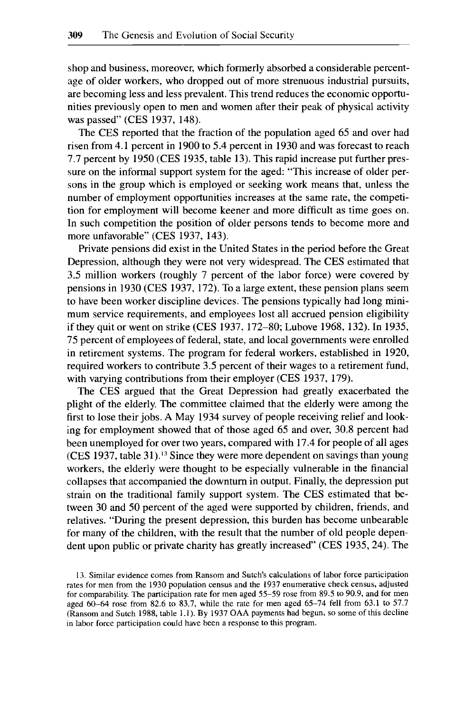shop and business, moreover, which formerly absorbed a considerable percentage of older workers, who dropped out of more strenuous industrial pursuits, are becoming less and less prevalent. This trend reduces the economic opportunities previously open to men and women after their peak of physical activity was passed" (CES 1937, 148).

The CES reported that the fraction of the population aged 65 and over had risen from 4.1 percent in 1900 to 5.4 percent in 1930 and was forecast to reach 7.7 percent by 1950 (CES 1935, table 13). This rapid increase put further pressure on the informal support system for the aged: "This increase of older persons in the group which is employed or seeking work means that, unless the number of employment opportunities increases at the same rate, the competition for employment will become keener and more difficult as time goes on. In such competition the position of older persons tends to become more and more unfavorable" (CES 1937, 143).

Private pensions did exist in the United States in the period before the Great Depression, although they were not very widespread. The CES estimated that 3.5 million workers (roughly 7 percent of the labor force) were covered by pensions in 1930 (CES 1937, 172). To a large extent, these pension plans seem to have been worker discipline devices. The pensions typically had long minimum service requirements, and employees lost all accrued pension eligibility if they quit or went on strike (CES 1937. 172-80; Lubove 1968,132). In 1935, 75 percent of employees of federal, state, and local governments were enrolled in retirement systems. The program for federal workers, established in 1920, required workers to contribute 3.5 percent of their wages to a retirement fund, with varying contributions from their employer (CES 1937, 179).

The CES argued that the Great Depression had greatly exacerbated the plight of the elderly. The committee claimed that the elderly were among the first to lose their jobs. **A** May 1934 survey of people receiving relief and looking for employment showed that of those aged 65 and over, 30.8 percent had been unemployed for over two years, compared with 17.4 for people of all ages (CES 1937, table 31).<sup>13</sup> Since they were more dependent on savings than young workers, the elderly were thought to be especially vulnerable in the financial collapses that accompanied the downturn in output. Finally, the depression put strain on the traditional family support system. The CES estimated that between 30 and 50 percent of the aged were supported by children, friends, and relatives. "During the present depression, this burden has become unbearable for many of the children, with the result that the number **of** old people dependent upon public or private charity has greatly increased" (CES 1935,24). The

<sup>13.</sup> Similar evidence comes from Ransom and Sutch's calculations of labor force participation rates for men from the 1930 population census and the 1937 enumerative check census, adjusted for comparability. The participation rate **for** men aged 55-59 rose from 89.5 to 90.9, and **for** men aged 60-64 rose from 82.6 to 83.7, while the rate for men aged 65-74 fell from 63.1 to 57.7 (Ransom and Sutch 1988, table 1.1). By 1937 **OAA** payments had begun, so some of this decline in labor force participation could have been a response to this program.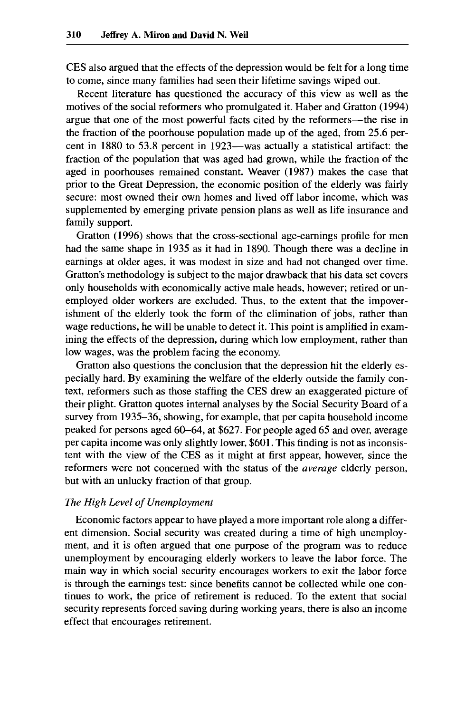CES also argued that the effects of the depression would be felt for a long time to come, since many families had seen their lifetime savings wiped out.

Recent literature has questioned the accuracy of this view as well as the motives of the social reformers who promulgated it. Haber and Gratton (1994) argue that one of the most powerful facts cited by the reformers-the rise in the fraction of the poorhouse population made up of the aged, from 25.6 percent in 1880 to 53.8 percent in 1923-was actually a statistical artifact: the fraction of the population that was aged had grown, while the fraction of the aged in poorhouses remained constant. Weaver (1987) makes the case that prior to the Great Depression, the economic position of the elderly was fairly secure: most owned their own homes and lived off labor income, which was supplemented by emerging private pension plans as well as life insurance and family support.

Gratton (1996) shows that the cross-sectional age-earnings profile for men had the same shape in 1935 as it had in 1890. Though there was a decline in earnings at older ages, it was modest in size and had not changed over time. Gratton's methodology is subject to the major drawback that his data set covers only households with economically active male heads, however; retired or unemployed older workers are excluded. Thus, to the extent that the impoverishment of the elderly took the form of the elimination of jobs, rather than wage reductions, he will be unable to detect it. This point is amplified in examining the effects of the depression, during which low employment, rather than low wages, was the problem facing the economy.

Gratton also questions the conclusion that the depression hit the elderly especially hard. By examining the welfare of the elderly outside the family context, reformers such as those staffing the **CES** drew an exaggerated picture **of**  their plight. Gratton quotes internal analyses by the Social Security Board of a survey from 1935-36, showing, for example, that per capita household income peaked for persons aged 60-64, at \$627. For people aged 65 and over, average per capita income was only slightly lower, \$601. This finding is not as inconsistent with the view of the **CES** as it might at first appear, however, since the reformers were not concerned with the status of the *average* elderly person, but with an unlucky fraction of that group.

# *The High Level of Unemployment*

Economic factors appear to have played a more important role along a different dimension. Social security was created during a time of high unemployment, and it is often argued that one purpose of the program was to reduce unemployment by encouraging elderly workers to leave the labor force. The main way in which social security encourages workers to exit the labor force is through the earnings test: since benefits cannot be collected while one continues to work, the price of retirement is reduced. To the extent that social security represents forced saving during working years, there is also an income effect that encourages retirement.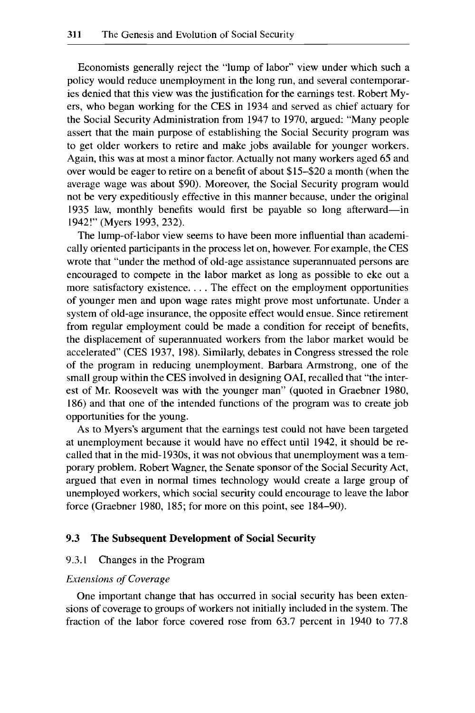Economists generally reject the "lump of labor" view under which such a policy would reduce unemployment in the long run, and several contemporaries denied that this view was the justification for the earnings test. Robert Myers, who began working for the CES in 1934 and served as chief actuary for the Social Security Administration from 1947 to 1970, argued: "Many people assert that the main purpose of establishing the Social Security program was to get older workers to retire and make jobs available for younger workers. Again, this was at most **a** minor factor. Actually not many workers aged 65 and over would be eager to retire on a benefit of about \$15-\$20 a month (when the average wage was about \$90). Moreover, the Social Security program would not be very expeditiously effective in this manner because, under the original 1935 law, monthly benefits would first be payable so long afterward—in 1942!" (Myers 1993, 232).

The lump-of-labor view seems to have been more influential than academically oriented participants in the process let on, however. For example, the CES wrote that "under the method of old-age assistance superannuated persons are encouraged to compete in the labor market as long as possible to eke out a more satisfactory existence. . . . The effect on the employment opportunities of younger men and upon wage rates might prove most unfortunate. Under a system of old-age insurance, the opposite effect would ensue. Since retirement from regular employment could be made a condition for receipt of benefits, the displacement of superannuated workers from the labor market would be accelerated" (CES 1937, 198). Similarly, debates in Congress stressed the role of the program in reducing unemployment. Barbara Armstrong, one of the small group within the CES involved in designing OAI, recalled that "the interest of Mr. Roosevelt was with the younger man" (quoted in Graebner 1980, 186) and that one of the intended functions of the program was to create job opportunities for the young.

As to Myers's argument that the earnings test could not have been targeted at unemployment because it would have no effect until 1942, it should be recalled that in the mid-l930s, it was not obvious that unemployment was a temporary problem. Robert Wagner, the Senate sponsor of the Social Security Act, argued that even in normal times technology would create a large group of unemployed workers, which social security could encourage to leave the labor force (Graebner 1980, 185; for more on this point, see 184-90).

#### **9.3 The Subsequent Development of Social Security**

### 9.3.1 Changes in the Program

# *Extensions* of *Coverage*

One important change that has occurred in social security has been extensions of coverage to groups of workers not initially included in the system. The fraction of the labor force covered rose from 63.7 percent in 1940 to 77.8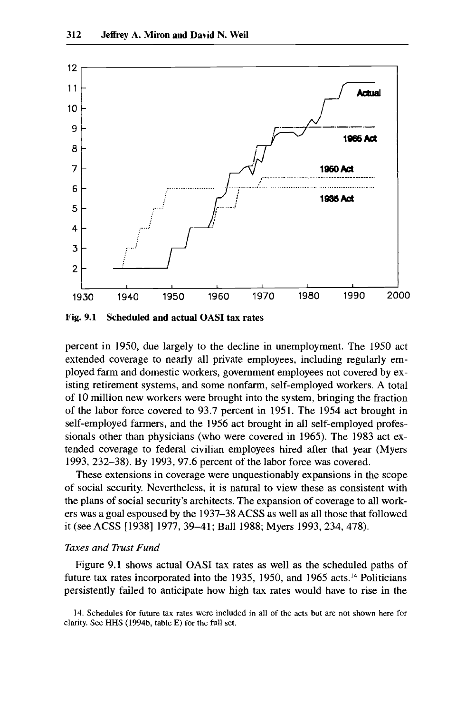

**Fig. 9.1 Scheduled and actual OASI tax** rates

percent in 1950, due largely to the decline in unemployment. The 1950 act extended coverage to nearly all private employees, including regularly employed farm and domestic workers, government employees not covered by existing retirement systems, and some nonfarm, self-employed workers. A total of 10 million new workers were brought into the system, bringing the fraction of the labor force covered to 93.7 percent in 1951. The 1954 act brought in self-employed farmers, and the 1956 act brought in all self-employed professionals other **than** physicians (who were covered in 1965). The 1983 act extended coverage to federal civilian employees hired after that year (Myers 1993,232-38). By 1993,97.6 percent of the labor force was covered.

These extensions in coverage were unquestionably expansions in the scope of social security. Nevertheless, it is natural to view these as consistent with the plans of social security's architects. The expansion of coverage to all workers was a goal espoused by the 1937-38 ACSS as well as all those that followed it (see ACSS [1938] 1977, 39-41; Ball 1988; Myers 1993, 234, 478).

#### *Taxes and Trust Fund*

Figure 9.1 shows actual OASI tax rates as well as the scheduled paths of future tax rates incorporated into the 1935, 1950, and 1965 acts.<sup>14</sup> Politicians persistently failed to anticipate how high tax rates would have to rise in the

**14.** Schedules for future tax rates were included in all of the acts but are not shown here for clarity. See HHS (1994b, table **E)** for the full set.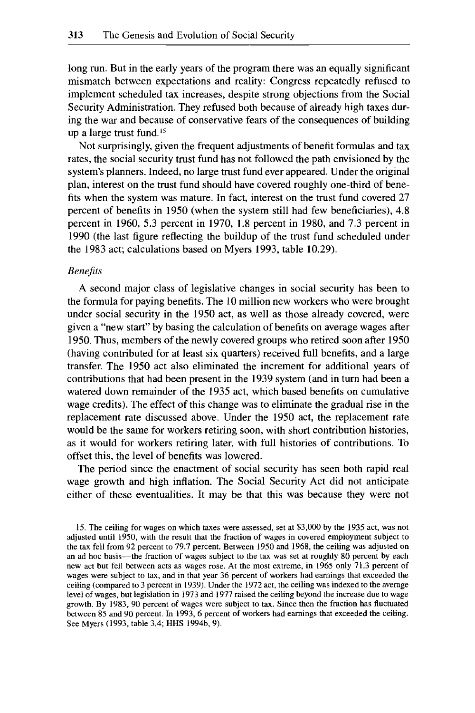long run. But in the early years of the program there was an equally significant mismatch between expectations and reality: Congress repeatedly refused to implement scheduled tax increases, despite strong objections from the Social Security Administration. They refused both because of already high taxes during the war and because **of** conservative fears of the consequences of building up a large trust fund.<sup>15</sup>

Not surprisingly, given the frequent adjustments of benefit formulas and tax rates, the social security trust fund has not followed the path envisioned by the system's planners. Indeed, no large trust fund ever appeared. Under the original plan, interest on the trust fund should have covered roughly one-third of benefits when the system was mature. In fact, interest on the trust fund covered 27 percent of benefits in 1950 (when the system still had few beneficiaries), 4.8 percent in 1960, 5.3 percent in 1970, 1.8 percent in 1980, and 7.3 percent in 1990 (the last figure reflecting the buildup of the trust fund scheduled under the 1983 act; calculations based on Myers 1993, table 10.29).

#### *Benefits*

**A** second major class of legislative changes in social security has been to the formula for paying benefits. The 10 million new workers who were brought under social security in the 1950 act, as well as those already covered, were given a "new start" by basing the calculation of benefits on average wages after 1950. Thus, members of the newly covered groups who retired soon after 1950 (having contributed for at least six quarters) received full benefits, and a large transfer. The 1950 act also eliminated the increment for additional years of contributions that had been present in the 1939 system (and in turn had been **a**  watered down remainder of the 1935 act, which based benefits on cumulative wage credits). The effect of this change was to eliminate the gradual rise in the replacement rate discussed above. Under the 1950 act, the replacement rate would be the same for workers retiring soon, with short contribution histories, as it would for workers retiring later, with full histories of contributions. To offset this, the level of benefits was lowered.

The period since the enactment of social security has seen both rapid real wage growth and high inflation. The Social Security Act did not anticipate either of these eventualities. It may be that this was because they were not

15. The ceiling for wages on which taxes were assessed, set at \$3,000 by the 1935 act, was not adjusted until 1950, with the result that the fraction of wages in covered employment subject to the tax fell from 92 percent to 79.7 percent. Between 1950 and 1968, the ceiling was adjusted on an ad hoc basis-the fraction of wages subject to the tax was set at roughly 80 percent by each new act but fell between acts as wages rose. At the most extreme, in 1965 only 71.3 percent of wages were subject to tax, and in that year 36 percent of workers had earnings that exceeded *the*  ceiling (compared to 3 percent in 1939). Under the 1972 act, the ceiling was indexed to the average level of wages, but legislation in 1973 and 1977 raised the ceiling beyond the increase due to wage growth. By 1983, 90 percent of wages were subject to tax. Since then the fraction has fluctuated between 85 and 90 percent. In 1993, 6 percent of workers had earnings that exceeded the ceiling. See Myers (1993, table 3.4; **HHS** 1994b, 9).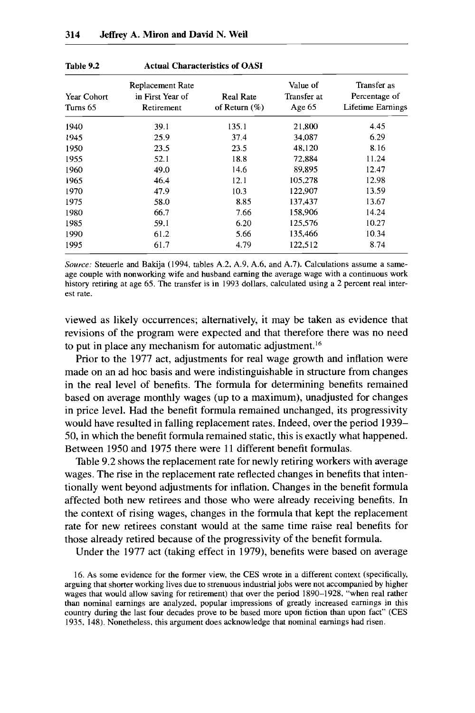| Year Cohort<br>Turns 65 | Replacement Rate<br>in First Year of<br>Retirement | <b>Real Rate</b><br>of Return $(\%)$ | Value of<br>Transfer at<br>Age 65 | Transfer as<br>Percentage of<br>Lifetime Earnings |
|-------------------------|----------------------------------------------------|--------------------------------------|-----------------------------------|---------------------------------------------------|
| 1940                    | 39.1                                               | 135.1                                | 21,800                            | 4.45                                              |
| 1945                    | 25.9                                               | 37.4                                 | 34.087                            | 6.29                                              |
| 1950                    | 23.5                                               | 23.5                                 | 48.120                            | 8.16                                              |
| 1955                    | 52.1                                               | 18.8                                 | 72.884                            | 11.24                                             |
| 1960                    | 49.0                                               | 14.6                                 | 89.895                            | 12.47                                             |
| 1965                    | 46.4                                               | 12.1                                 | 105.278                           | 12.98                                             |
| 1970                    | 47.9                                               | 10.3                                 | 122.907                           | 13.59                                             |
| 1975                    | 58.0                                               | 8.85                                 | 137.437                           | 13.67                                             |
| 1980                    | 66.7                                               | 7.66                                 | 158,906                           | 14.24                                             |
| 1985                    | 59.1                                               | 6.20                                 | 125,576                           | 10.27                                             |
| 1990                    | 61.2                                               | 5.66                                 | 135,466                           | 10.34                                             |
| 1995                    | 61.7                                               | 4.79                                 | 122,512                           | 8.74                                              |

**Table 9.2 Actual Characteristics of OASI** 

*Source:* Steuerle and Bakija (1994, tables A.2, A.9, A.6, and A.7). Calculations assume a sameage couple with nonworking wife and husband earning the average wage with a continuous work history retiring at age 65. The transfer is in 1993 dollars, calculated using a 2 percent real interest rate.

viewed as likely occurrences; alternatively, it may be taken as evidence that revisions of the program were expected and that therefore there was no need to put in place any mechanism for automatic adjustment.<sup>16</sup>

Prior to the 1977 act, adjustments for real wage growth and inflation were made on an ad hoc basis and were indistinguishable in structure from changes in the real level of benefits. The formula for determining benefits remained based on average monthly wages (up to a maximum), unadjusted for changes in price level. Had the benefit formula remained unchanged, its progressivity would have resulted in falling replacement rates. Indeed, over the period 1939- 50, in which the benefit formula remained static, this is exactly what happened. Between 1950 and 1975 there were 11 different benefit formulas.

Table 9.2 shows the replacement rate for newly retiring workers with average wages. The rise in the replacement rate reflected changes in benefits that intentionally went beyond adjustments for inflation. Changes in the benefit formula affected both new retirees and those who were already receiving benefits. In the context of rising wages, changes in the formula that kept the replacement rate for new retirees constant would at the same time raise real benefits for those already retired because of the progressivity of the benefit formula.

Under the 1977 act (taking effect in 1979), benefits were based on average

<sup>16.</sup> As some evidence for the former view, the CES wrote in a different context (specifically, arguing that **shorter** working lives due to strenuous industrial jobs were not accompanied by higher wages that would allow saving **for** retirement) that over the period 1890-1928, "when real rather than nominal earnings are analyzed, popular impressions of greatly increased earnings in this country during the last **four** decades prove to be based **more** upon fiction than upon fact" **(CES**  1935, 148). Nonetheless, this argument does acknowledge that nominal earnings had risen.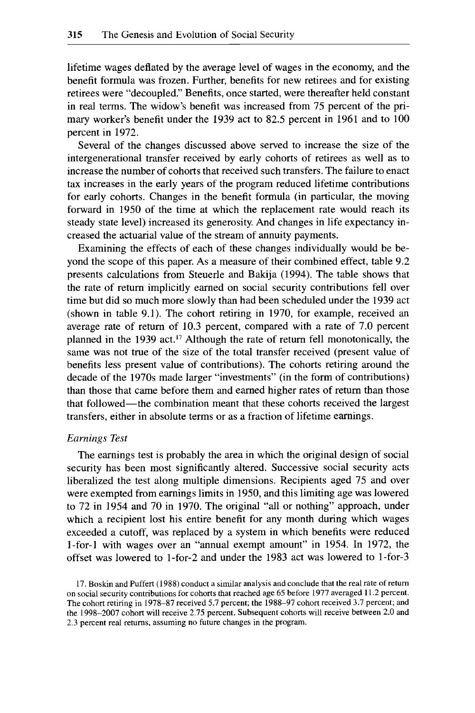lifetime wages deflated by the average level of wages in the economy, and the benefit formula was frozen. Further, benefits for new retirees and for existing retirees were "decoupled." Benefits, once started, were thereafter held constant in real terms. The widow's benefit was increased from 75 percent of the primary worker's benefit under the 1939 act to 82.5 percent in 1961 and to 100 percent in 1972.

Several of the changes discussed above served to increase the size of the intergenerational transfer received by early cohorts of retirees as well as to increase the number of cohorts that received such transfers. The failure to enact tax increases in the early years of the program reduced lifetime contributions for early cohorts. Changes in the benefit formula (in particular, the moving forward in 1950 of the time at which the replacement rate would reach its steady state level) increased its generosity. And changes in life expectancy increased the actuarial value of the stream of annuity payments.

Examining the effects of each of these changes individually would be beyond the scope of this paper. As a measure of their combined effect, table 9.2 presents calculations from Steuerle and Bakija (1994). The table shows that the rate of return implicitly earned on social security contributions fell over time but did so much more slowly than had been scheduled under the 1939 act (shown in table 9.1). The cohort retiring in 1970, for example, received an average rate of return **of** 10.3 percent, compared with a rate of 7.0 percent planned in the 1939 act.17 Although the rate of return fell monotonically, the same was not true of the size of the total transfer received (present value of benefits less present value of contributions). The cohorts retiring around the decade of the 1970s made larger "investments" (in the form of contributions) than those that came before them and earned higher rates **of** return than those that followed—the combination meant that these cohorts received the largest transfers, either in absolute terms or as a fraction of lifetime earnings.

# Earnings *Test*

The earnings test is probably the area in which the original design of social security has been most significantly altered. Successive social security acts liberalized the test along multiple dimensions. Recipients aged 75 and over were exempted from earnings limits in 1950, and this limiting age was lowered to 72 in 1954 and 70 in 1970. The original "all or nothing" approach, under which a recipient lost his entire benefit for any month during which wages exceeded a cutoff, was replaced by a system in which benefits were reduced 1-for-1 with wages over an "annual exempt amount" in 1954. In 1972, the offset was lowered to 1-for-2 and under the 1983 act was lowered to 1-for-3

<sup>17.</sup> Boskin and Puffert (1988) conduct a similar analysis and conclude that the real rate of return on social security contributions for cohorts that reached age 65 before 1977 averaged 11.2 percent. The cohort retiring in 1978-87 received 5.7 percent; the 1988-97 cohort received 3.7 percent; and the 1998-2007 cohort will receive 2.75 percent. Subsequent cohorts will receive between 2.0 and 2.3 percent real returns, assuming no future changes in the program.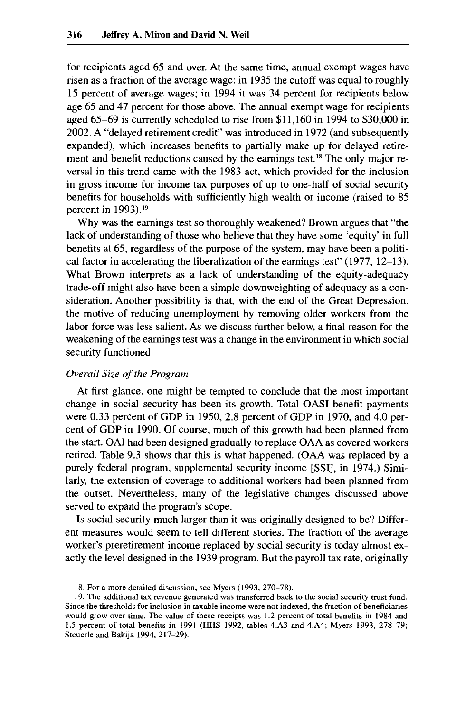for recipients aged 65 and over. At the same time, annual exempt wages have risen as a fraction of the average wage: in 1935 the cutoff was equal to roughly 15 percent of average wages; in 1994 it was 34 percent for recipients below age 65 and 47 percent for those above. The annual exempt wage for recipients aged 65-69 is currently scheduled to rise from \$11,160 in 1994 to \$30,000 in 2002. A "delayed retirement credit" was introduced in 1972 (and subsequently expanded), which increases benefits to partially make up for delayed retirement and benefit reductions caused by the earnings test.<sup>18</sup> The only major reversal in this trend came with the 1983 act, which provided for the inclusion in gross income for income tax purposes of up to one-half of social security benefits for households with sufficiently high wealth or income (raised to 85 percent in 1993).19

Why was the earnings test so thoroughly weakened? Brown argues that "the lack of understanding of those who believe that they have some 'equity' in full benefits at 65, regardless of the purpose of the system, may have been a political factor in accelerating the liberalization of the earnings test" (1977, 12-13). What Brown interprets as a lack of understanding of the equity-adequacy trade-off might also have been a simple downweighting of adequacy as a consideration. Another possibility is that, with the end of the Great Depression, the motive of reducing unemployment by removing older workers from the labor force was less salient. As we discuss further below, a final reason for the weakening of the earnings test was a change in the environment in which social security functioned.

# *Overall Size of the Program*

At first glance, one might be tempted to conclude that the most important change in social security has been its growth. Total **OASI** benefit payments were 0.33 percent of GDP in 1950, 2.8 percent of GDP in 1970, and 4.0 percent of GDP in 1990. Of course, much of this growth had been planned from the start. OAI had been designed gradually to replace OAA as covered workers retired. Table 9.3 shows that this is what happened. (OAA was replaced by a purely federal program, supplemental security income [SSI], in 1974.) Similarly, the extension of coverage to additional workers had been planned from the outset. Nevertheless, many of the legislative changes discussed above served to expand the program's scope.

Is social security much larger than it was originally designed to be? Different measures would seem to tell different stones. The fraction of the average worker's preretirement income replaced by social security is today almost exactly the level designed in the 1939 program. But the payroll tax rate, originally

<sup>18.</sup> For a more detailed discussion, see Myers (1993, 270-78).

<sup>19.</sup> The additional tax revenue generated was transferred back to the social security trust fund. Since the thresholds for inclusion in taxable income were not indexed, the fraction of beneficiaries would grow over time. The value of these receipts was 1.2 percent of total benefits in 1984 and 1.5 percent of total benefits in 1991 (HHS 1992, tables 4.A3 and 4.A4; Myers 1993, 278-79; Steuerle and Bakija 1994, 217-29).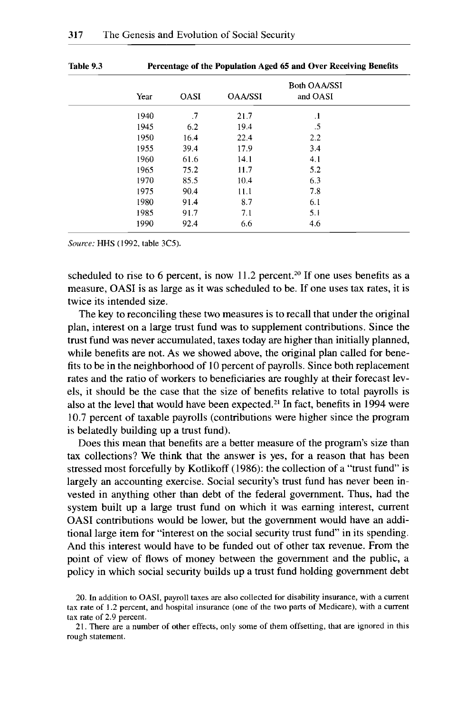| Year | <b>OASI</b> | <b>OAA/SSI</b> | Both OAA/SSI<br>and OASI |  |
|------|-------------|----------------|--------------------------|--|
| 1940 | .7          | 21.7           | $\cdot$                  |  |
| 1945 | 6.2         | 19.4           | .5                       |  |
| 1950 | 16.4        | 22.4           | 2.2                      |  |
| 1955 | 39.4        | 17.9           | 3.4                      |  |
| 1960 | 61.6        | 14.1           | 4.1                      |  |
| 1965 | 75.2        | 11.7           | 5.2                      |  |
| 1970 | 85.5        | 10.4           | 6.3                      |  |
| 1975 | 90.4        | 11.1           | 7.8                      |  |
| 1980 | 91.4        | 8.7            | 6.1                      |  |
| 1985 | 91.7        | 7.1            | 5.1                      |  |
| 1990 | 92.4        | 6.6            | 4.6                      |  |

**Table 9.3 Percentage of the Population Aged 65 and Over Receiving Benefits** 

*Source;* **HHS** (1992, **table 3C5).** 

scheduled to rise to  $6$  percent, is now  $11.2$  percent.<sup>20</sup> If one uses benefits as a measure, OASI is as large as it was scheduled to be. If one uses tax rates, it is twice its intended size.

The key to reconciling these two measures is to recall that under the original plan, interest on a large trust fund was to supplement contributions. Since the trust fund was never accumulated, taxes today are higher than initially planned, while benefits are not. As we showed above, the original plan called for benefits to be in the neighborhood of 10 percent of payrolls. Since both replacement rates and the ratio of workers to beneficiaries are roughly at their forecast levels, it should be the case that the size of benefits relative to total payrolls is also at the level that would have been expected.<sup>21</sup> In fact, benefits in 1994 were 10.7 percent of taxable payrolls (contributions were higher since the program is belatedly building up a trust fund).

Does this mean that benefits are a better measure of the program's size than **tax** collections? We think that the answer is yes, for a reason that has been stressed most forcefully by Kotlikoff (1986): the collection of a "trust fund" is largely an accounting exercise. Social security's trust fund has never been invested in anything other than debt of the federal government. Thus, had the system built up a large trust fund on which it was earning interest, current OASI contributions would be lower, but the government would have an additional large item for "interest on the social security trust fund" in its spending. And this interest would have to be funded out of other tax revenue. From the point of view of flows of money between the government and the public, a policy in which social security builds up a trust fund holding government debt

<sup>20.</sup> In **addition to OASI, payroll taxes are also collected for disability insurance, with a current tax rate of** 1.2 **percent, and hospital insurance (one** of **the two parts of Medicare), with a current tax rate of** 2.9 **percent.** 

<sup>21.</sup> **There are a number of other effects, only some of them offsetting, that are ignored in this rough statement.**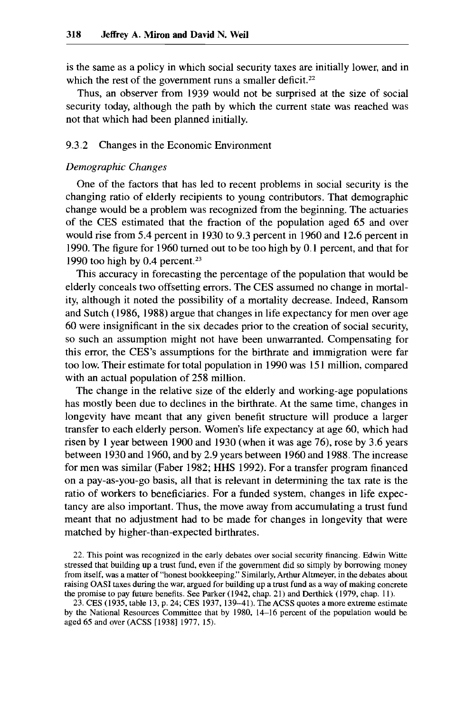is the same as a policy in which social security taxes are initially lower, and in which the rest of the government runs a smaller deficit.<sup>22</sup>

Thus, an observer from 1939 would not be surprised at the size of social security today, although the path by which the current state was reached was not that which had been planned initially.

# 9.3.2 Changes in the Economic Environment

# *Demographic Changes*

One of the factors that has led to recent problems in social security is the changing ratio of elderly recipients to young contributors. That demographic change would be a problem was recognized from the beginning. The actuaries of the **CES** estimated that the fraction of the population aged 65 and over would rise from **5.4** percent in 1930 to 9.3 percent in 1960 and 12.6 percent in 1990. The figure for 1960 turned out to be too high by 0.1 percent, and that for 1990 too high by  $0.4$  percent.<sup>23</sup>

This accuracy in forecasting the percentage of the population that would be elderly conceals two offsetting errors. The CES assumed no change in mortality, although it noted the possibility of a mortality decrease. Indeed, Ransom and Sutch (1986, 1988) argue that changes in life expectancy for men over age 60 were insignificant in the six decades prior to the creation of social security, so such an assumption might not have been unwarranted. Compensating for this error, the **CES's** assumptions for the birthrate and immigration were far too low. Their estimate for total population in 1990 was 15 1 million, compared with an actual population of 258 million.

The change in the relative size of the elderly and working-age populations has mostly been due to declines in the birthrate. At the same time, changes in longevity have meant that any given benefit structure will produce a larger transfer to each elderly person. Women's life expectancy at age 60, which had risen by 1 year between 1900 and 1930 (when it was age 76), rose by 3.6 years between 1930 and 1960, and by 2.9 years between 1960 and 1988. The increase for men was similar (Faber 1982; **HHS** 1992). For a transfer program financed on a pay-as-you-go basis, all that is relevant in determining the tax rate is the ratio of workers to beneficiaries. For a funded system, changes in life expectancy are also important. Thus, the move away from accumulating a trust fund meant that no adjustment had **to** be made for changes in longevity that were matched by higher-than-expected birthrates.

22. This point was recognized in the early debates over social security financing. Edwin Witte stressed that building **up** a trust fund, even if the government did **so** simply by borrowing money from itself, was a matter of "honest bookkeeping." Similarly, Arthur Altmeyer, in the debates about raising **OASI** taxes during the war, argued for building up a trust fund as a way of making concrete the promise to pay future benefits. *See* Parker (1942, chap. 21) and Derthick (1979, chap. 11).

<sup>23.</sup> CES (1935, table 13, **p.** 24; **CES** 1937, 139-41). The ACSS quotes a more extreme estimate by the National Resources Committee that by 1980, 14-16 percent of **the** population would be aged 65 and **over** (ACSS [1938] 1977, 15).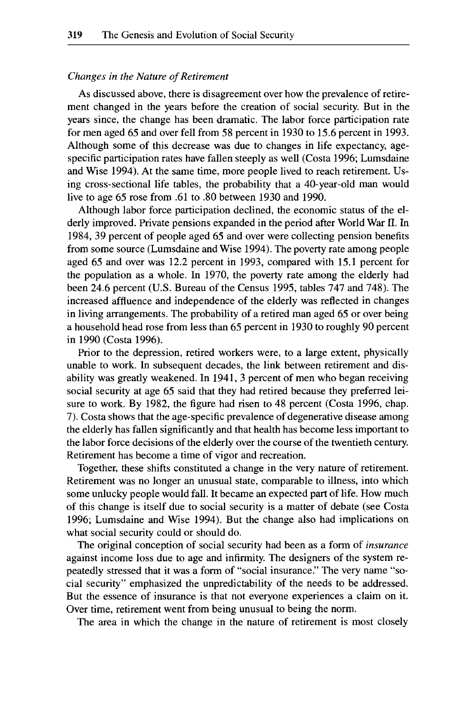# Changes *in* the Nature of Retirement

As discussed above, there is disagreement over how the prevalence of retirement changed in the years before the creation of social security. But in the years since, the change has been dramatic. The labor force participation rate for men aged 65 and over fell from 58 percent in 1930 to 15.6 percent in 1993. Although some of this decrease was due to changes in life expectancy, agespecific participation rates have fallen steeply as well (Costa 1996; Lumsdaine and Wise 1994). At the same time, more people lived to reach retirement. Using cross-sectional life tables, the probability that a 40-year-old man would live to age 65 rose from .61 to .80 between 1930 and 1990.

Although labor force participation declined, the economic status of the elderly improved. Private pensions expanded in the period after World War 11. In 1984, 39 percent of people aged 65 and over were collecting pension benefits from some source (Lumsdaine and Wise 1994). The poverty rate among people aged 65 and over was 12.2 percent in 1993, compared with 15.1 percent for the population as a whole. In 1970, the poverty rate among the elderly had been 24.6 percent **(U.S.** Bureau of the Census 1995, tables 747 and 748). The increased affluence and independence of the elderly was reflected in changes in living arrangements. The probability of a retired man aged 65 or over being a household head rose from less than 65 percent in 1930 to roughly 90 percent in 1990 (Costa 1996).

Prior to the depression, retired workers were, to a large extent, physically unable to work. In subsequent decades, the link between retirement and disability was greatly weakened. In 1941, 3 percent of men who began receiving social security at age 65 said that they had retired because they preferred leisure to work. By 1982, the figure had risen to 48 percent (Costa 1996, chap. 7). Costa shows that the age-specific prevalence of degenerative disease among the elderly has fallen significantly and that health has become less important to the labor force decisions of the elderly over the course of the twentieth century. Retirement has become a time of vigor and recreation.

Together, these shifts constituted a change in the very nature of retirement. Retirement was no longer an unusual state, comparable to illness, into which some unlucky people would fall. It became an expected part of life. How much of this change is itself due to social security is a matter of debate (see Costa 1996; Lumsdaine and Wise 1994). But the change also had implications on what social security could or should do.

The original conception of social security had been as a form of *insurance* against income loss due to age and infirmity. The designers of the system repeatedly stressed that it was a form of "social insurance." The very name "social security" emphasized the unpredictability of the needs to be addressed. But the essence of insurance is that not everyone experiences a claim on it. Over time, retirement went from being unusual to being the norm.

The area in which the change in the nature of retirement is most closely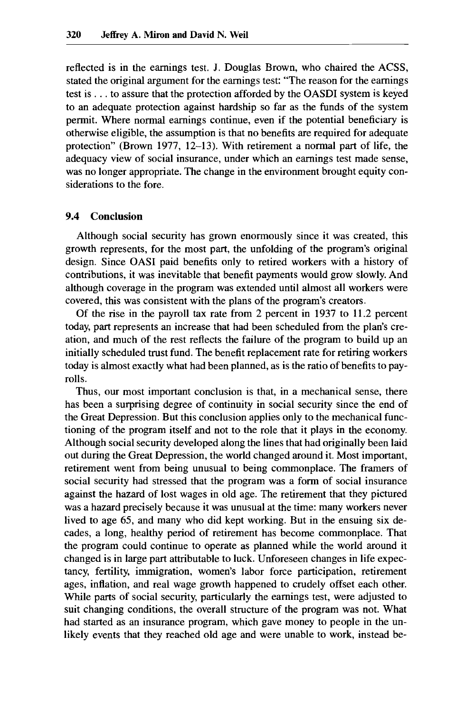reflected is in the earnings test. J. Douglas Brown, who chaired the ACSS, stated the original argument for the earnings test: "The reason for the earnings test is . . . to assure that the protection afforded by the OASDI system is keyed to an adequate protection against hardship so far as the funds of the system permit. Where normal earnings continue, even if the potential beneficiary is otherwise eligible, the assumption is that no benefits are required for adequate protection" (Brown 1977, 12-13). With retirement a normal part of life, the adequacy view of social insurance, under which an earnings test made sense, was no longer appropriate. The change in the environment brought equity considerations to the fore.

#### **9.4 Conclusion**

Although social security has grown enormously since it was created, this growth represents, for the most part, the unfolding of the program's original design. Since OASI paid benefits only to retired workers with a history of contributions, it was inevitable that benefit payments would grow slowly. And although coverage in the program was extended until almost all workers were covered, this was consistent with the plans of the program's creators.

Of the rise in the payroll tax rate from 2 percent in 1937 to 11.2 percent today, part represents an increase that had been scheduled from the plan's creation, and much of the rest reflects the failure of the program to build up an initially scheduled trust fund. The benefit replacement rate for retiring workers today is almost exactly what had been planned, as is the ratio of benefits to payrolls.

Thus, our most important conclusion is that, in a mechanical sense, there has been a surprising degree of continuity in social security since the end of the Great Depression. But this conclusion applies only to the mechanical functioning of the program itself and not to the role that it plays in the economy. Although social security developed along the lines that had originally been laid out during the Great Depression, the world changed around it. Most important, retirement went from being unusual to being commonplace. The framers of social security had stressed that the program was a form of social insurance against the hazard of lost wages in old age. The retirement that they pictured was a hazard precisely because it was unusual at the time: many workers never lived to age 65, and many who did kept working. But in the ensuing six decades, a long, healthy period of retirement has become commonplace. That the program could continue to operate as planned while the world around it changed is in large part attributable to luck. Unforeseen changes in life expectancy, fertility, immigration, women's labor force participation, retirement ages, inflation, and real wage growth happened to crudely offset each other. While parts of social security, particularly the earnings test, were adjusted to suit changing conditions, the overall structure of the program was not. What had started as an insurance program, which gave money to people in the unlikely events that they reached old age and were unable to work, instead be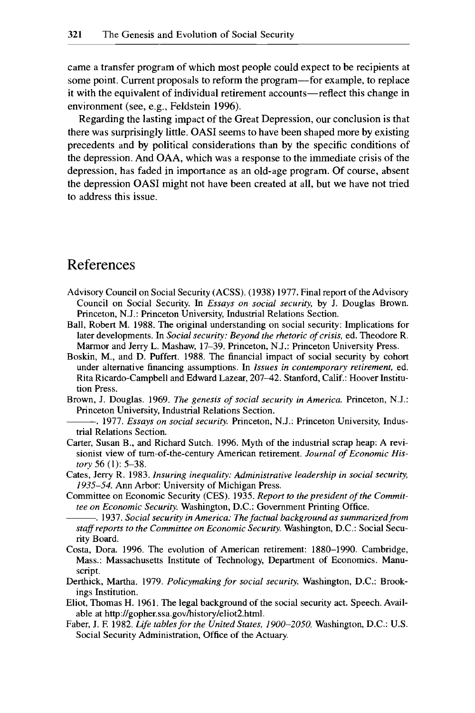came a transfer program of which most people could expect to be recipients at some point. Current proposals to reform the program-for example, to replace it with the equivalent of individual retirement accounts—reflect this change in environment (see, e.g., Feldstein 1996).

Regarding the lasting impact of the Great Depression, our conclusion is that there was surprisingly little. OASI seems to have been shaped more by existing precedents and by political considerations than by the specific conditions of the depression. And OAA, which was a response to the immediate crisis of the depression, has faded in importance as an old-age program. Of course, absent the depression OASI might not have been created at all, but we have not tried to address this issue.

# References

- Advisory Council on Social Security (ACSS). (1938) 1977. Final report of the Advisory Council on Social Security. In *Essays* on *social security,* by J. Douglas Brown. Princeton, N.J.: Princeton University, Industrial Relations Section.
- Ball, Robert **M.** 1988. The original understanding on social security: Implications for later developments. In *Social security: Beyond the rhetoric of crisis*, ed. Theodore R. Marmor and Jerry **L.** Mashaw, 17-39. Princeton, N.J.: Princeton University Press.
- Boskin, M., and D. Puffert. 1988. The financial impact of social security by cohort under alternative financing assumptions. In *Issues in contemporary retirement,* ed. Rita Ricardo-Campbell and Edward Lazear, 207-42. Stanford, Calif.: Hoover Institution Press.
- Brown, J. Douglas. 1969. *The genesis of social security in America.* Princeton, N.J.: Princeton University, Industrial Relations Section.
- . 1977. *Essays* on *social security.* Princeton, N.J.: Princeton University, Industrial Relations Section.
- Carter, Susan B., and Richard Sutch. 1996. Myth of the industrial scrap heap: A revisionist view of turn-of-the-century American retirement. *Journal of Economic Histov* 56 (1): 5-38.
- Cates, Jerry R. 1983. *Insuring inequality: Administrative leadership in social securio, 1935-54.* Ann Arbor: University of Michigan Press.
- Committee on Economic Security (CES). 1935. *Report to the president of the Committee* on *Economic Security.* Washington, D.C.: Government Printing Office.
	- -. 1937. *Social security in America: The factual background as summarized from staff reports to the Committee* on *Economic Security.* Washington, D.C.: Social Security Board.
- Costa, Dora. 1996. The evolution of American retirement: 1880-1990. Cambridge, Mass.: Massachusetts Institute of Technology, Department of Economics. Manuscript.
- Derthick, Martha. 1979. *Policymaking for social security.* Washington, D.C.: Brookings Institution.
- Eliot, Thomas H. 1961. The legal background of the social security act. Speech. Available at **http://gopher.ssa.gov/history/eliot2.html.**
- Faber, J. F. 1982. *Life tables for the United States, 1900-2050.* Washington, D.C.: US. Social Security Administration, Office of the Actuary.